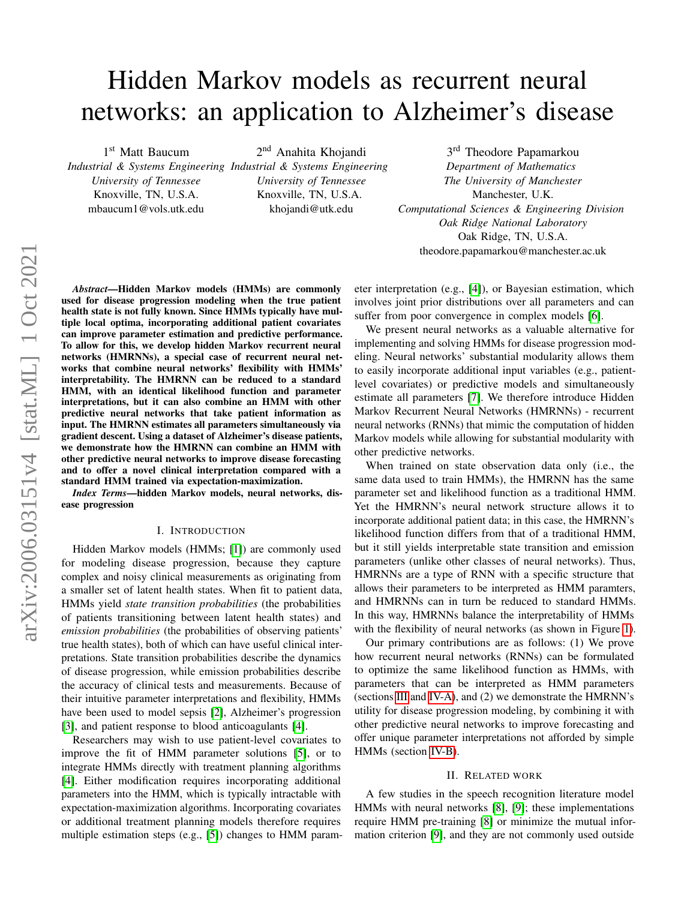# Hidden Markov models as recurrent neural networks: an application to Alzheimer's disease

1st Matt Baucum

*Industrial & Systems Engineering Industrial & Systems Engineering University of Tennessee* Knoxville, TN, U.S.A. mbaucum1@vols.utk.edu

2<sup>nd</sup> Anahita Khojandi

*University of Tennessee* Knoxville, TN, U.S.A. khojandi@utk.edu

3<sup>rd</sup> Theodore Papamarkou *Department of Mathematics The University of Manchester* Manchester, U.K. *Computational Sciences & Engineering Division Oak Ridge National Laboratory* Oak Ridge, TN, U.S.A. theodore.papamarkou@manchester.ac.uk

*Abstract*—Hidden Markov models (HMMs) are commonly used for disease progression modeling when the true patient health state is not fully known. Since HMMs typically have multiple local optima, incorporating additional patient covariates can improve parameter estimation and predictive performance. To allow for this, we develop hidden Markov recurrent neural networks (HMRNNs), a special case of recurrent neural networks that combine neural networks' flexibility with HMMs' interpretability. The HMRNN can be reduced to a standard HMM, with an identical likelihood function and parameter interpretations, but it can also combine an HMM with other predictive neural networks that take patient information as input. The HMRNN estimates all parameters simultaneously via gradient descent. Using a dataset of Alzheimer's disease patients, we demonstrate how the HMRNN can combine an HMM with other predictive neural networks to improve disease forecasting and to offer a novel clinical interpretation compared with a standard HMM trained via expectation-maximization.

*Index Terms*—hidden Markov models, neural networks, disease progression

# I. INTRODUCTION

Hidden Markov models (HMMs; [\[1\]](#page-5-0)) are commonly used for modeling disease progression, because they capture complex and noisy clinical measurements as originating from a smaller set of latent health states. When fit to patient data, HMMs yield *state transition probabilities* (the probabilities of patients transitioning between latent health states) and *emission probabilities* (the probabilities of observing patients' true health states), both of which can have useful clinical interpretations. State transition probabilities describe the dynamics of disease progression, while emission probabilities describe the accuracy of clinical tests and measurements. Because of their intuitive parameter interpretations and flexibility, HMMs have been used to model sepsis [\[2\]](#page-5-1), Alzheimer's progression [\[3\]](#page-5-2), and patient response to blood anticoagulants [\[4\]](#page-5-3).

Researchers may wish to use patient-level covariates to improve the fit of HMM parameter solutions [\[5\]](#page-5-4), or to integrate HMMs directly with treatment planning algorithms [\[4\]](#page-5-3). Either modification requires incorporating additional parameters into the HMM, which is typically intractable with expectation-maximization algorithms. Incorporating covariates or additional treatment planning models therefore requires multiple estimation steps (e.g., [\[5\]](#page-5-4)) changes to HMM parameter interpretation (e.g., [\[4\]](#page-5-3)), or Bayesian estimation, which involves joint prior distributions over all parameters and can suffer from poor convergence in complex models [\[6\]](#page-5-5).

We present neural networks as a valuable alternative for implementing and solving HMMs for disease progression modeling. Neural networks' substantial modularity allows them to easily incorporate additional input variables (e.g., patientlevel covariates) or predictive models and simultaneously estimate all parameters [\[7\]](#page-5-6). We therefore introduce Hidden Markov Recurrent Neural Networks (HMRNNs) - recurrent neural networks (RNNs) that mimic the computation of hidden Markov models while allowing for substantial modularity with other predictive networks.

When trained on state observation data only (i.e., the same data used to train HMMs), the HMRNN has the same parameter set and likelihood function as a traditional HMM. Yet the HMRNN's neural network structure allows it to incorporate additional patient data; in this case, the HMRNN's likelihood function differs from that of a traditional HMM, but it still yields interpretable state transition and emission parameters (unlike other classes of neural networks). Thus, HMRNNs are a type of RNN with a specific structure that allows their parameters to be interpreted as HMM paramters, and HMRNNs can in turn be reduced to standard HMMs. In this way, HMRNNs balance the interpretability of HMMs with the flexibility of neural networks (as shown in Figure [1\)](#page-1-0).

Our primary contributions are as follows: (1) We prove how recurrent neural networks (RNNs) can be formulated to optimize the same likelihood function as HMMs, with parameters that can be interpreted as HMM parameters (sections [III](#page-1-1) and [IV-A\)](#page-3-0), and (2) we demonstrate the HMRNN's utility for disease progression modeling, by combining it with other predictive neural networks to improve forecasting and offer unique parameter interpretations not afforded by simple HMMs (section [IV-B\)](#page-3-1).

## II. RELATED WORK

A few studies in the speech recognition literature model HMMs with neural networks [\[8\]](#page-5-7), [\[9\]](#page-5-8); these implementations require HMM pre-training [\[8\]](#page-5-7) or minimize the mutual information criterion [\[9\]](#page-5-8), and they are not commonly used outside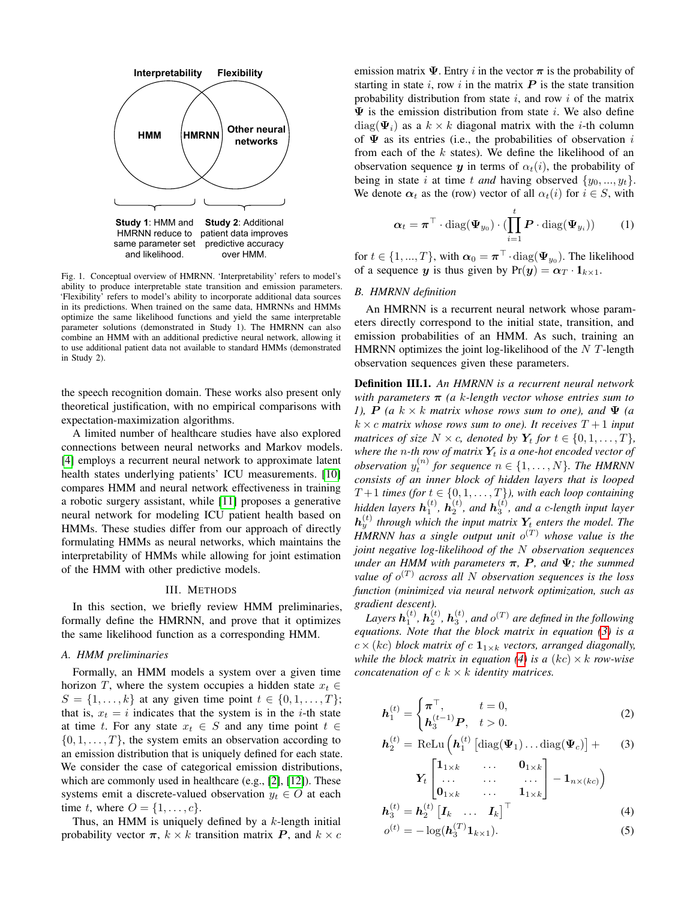

<span id="page-1-0"></span>Fig. 1. Conceptual overview of HMRNN. 'Interpretability' refers to model's ability to produce interpretable state transition and emission parameters. 'Flexibility' refers to model's ability to incorporate additional data sources in its predictions. When trained on the same data, HMRNNs and HMMs optimize the same likelihood functions and yield the same interpretable parameter solutions (demonstrated in Study 1). The HMRNN can also combine an HMM with an additional predictive neural network, allowing it to use additional patient data not available to standard HMMs (demonstrated in Study 2).

the speech recognition domain. These works also present only theoretical justification, with no empirical comparisons with expectation-maximization algorithms.

A limited number of healthcare studies have also explored connections between neural networks and Markov models. [\[4\]](#page-5-3) employs a recurrent neural network to approximate latent health states underlying patients' ICU measurements. [\[10\]](#page-5-9) compares HMM and neural network effectiveness in training a robotic surgery assistant, while [\[11\]](#page-5-10) proposes a generative neural network for modeling ICU patient health based on HMMs. These studies differ from our approach of directly formulating HMMs as neural networks, which maintains the interpretability of HMMs while allowing for joint estimation of the HMM with other predictive models.

### III. METHODS

<span id="page-1-1"></span>In this section, we briefly review HMM preliminaries, formally define the HMRNN, and prove that it optimizes the same likelihood function as a corresponding HMM.

# *A. HMM preliminaries*

Formally, an HMM models a system over a given time horizon T, where the system occupies a hidden state  $x_t \in$  $S = \{1, ..., k\}$  at any given time point  $t \in \{0, 1, ..., T\}$ ; that is,  $x_t = i$  indicates that the system is in the *i*-th state at time t. For any state  $x_t \in S$  and any time point  $t \in$  $\{0, 1, \ldots, T\}$ , the system emits an observation according to an emission distribution that is uniquely defined for each state. We consider the case of categorical emission distributions, which are commonly used in healthcare (e.g., [\[2\]](#page-5-1), [\[12\]](#page-5-11)). These systems emit a discrete-valued observation  $y_t \in O$  at each time t, where  $O = \{1, \ldots, c\}.$ 

Thus, an HMM is uniquely defined by a  $k$ -length initial probability vector  $\pi$ ,  $k \times k$  transition matrix P, and  $k \times c$  emission matrix  $\Psi$ . Entry i in the vector  $\pi$  is the probability of starting in state  $i$ , row  $i$  in the matrix  $P$  is the state transition probability distribution from state  $i$ , and row  $i$  of the matrix  $\Psi$  is the emission distribution from state i. We also define  $diag(\Psi_i)$  as a  $k \times k$  diagonal matrix with the *i*-th column of  $\Psi$  as its entries (i.e., the probabilities of observation i from each of the  $k$  states). We define the likelihood of an observation sequence y in terms of  $\alpha_t(i)$ , the probability of being in state i at time t and having observed  $\{y_0, ..., y_t\}$ . We denote  $\alpha_t$  as the (row) vector of all  $\alpha_t(i)$  for  $i \in S$ , with

<span id="page-1-6"></span>
$$
\boldsymbol{\alpha}_t = \boldsymbol{\pi}^\top \cdot \text{diag}(\boldsymbol{\Psi}_{y_0}) \cdot (\prod_{i=1}^t \boldsymbol{P} \cdot \text{diag}(\boldsymbol{\Psi}_{y_i})) \qquad (1)
$$

for  $t \in \{1, ..., T\}$ , with  $\boldsymbol{\alpha}_0 = \boldsymbol{\pi}^\top \cdot \text{diag}(\boldsymbol{\Psi}_{y_0})$ . The likelihood of a sequence y is thus given by  $Pr(y) = \alpha_T \cdot 1_{k \times 1}$ .

#### *B. HMRNN definition*

An HMRNN is a recurrent neural network whose parameters directly correspond to the initial state, transition, and emission probabilities of an HMM. As such, training an HMRNN optimizes the joint log-likelihood of the  $N$  T-length observation sequences given these parameters.

Definition III.1. *An HMRNN is a recurrent neural network with parameters* π *(a* k*-length vector whose entries sum to 1),*  $P$  *(a*  $k \times k$  *matrix whose rows sum to one), and*  $\Psi$  *(a*  $k \times c$  *matrix whose rows sum to one). It receives*  $T + 1$  *input matrices of size*  $N \times c$ *, denoted by*  $Y_t$  *for*  $t \in \{0, 1, \ldots, T\}$ *, where the n-th row of matrix*  $Y_t$  *is a one-hot encoded vector of observation*  $y_t^{(n)}$  for sequence  $n \in \{1, \ldots, N\}$ . The HMRNN *consists of an inner block of hidden layers that is looped*  $T+1$  *times (for*  $t \in \{0, 1, \ldots, T\}$ ), with each loop containing *hidden layers*  $h_1^{(t)}$ ,  $h_2^{(t)}$ , and  $h_3^{(t)}$ , and a c-length input layer  $h_y^{(t)}$  through which the input matrix  $Y_t$  enters the model. The *HMRNN has a single output unit* o (T) *whose value is the joint negative log-likelihood of the* N *observation sequences under an HMM with parameters*  $\pi$ ,  $P$ *, and*  $\Psi$ *; the summed value of* o (T) *across all* N *observation sequences is the loss function (minimized via neural network optimization, such as gradient descent).*

Layers  $\mathbf{h}_1^{(t)}$ ,  $\mathbf{h}_2^{(t)}$ ,  $\mathbf{h}_3^{(t)}$ , and  $o^{(T)}$  are defined in the following *equations. Note that the block matrix in equation [\(3\)](#page-1-2) is a*  $c \times (kc)$  *block matrix of*  $c \mathbf{1}_{1 \times k}$  *vectors, arranged diagonally, while the block matrix in equation* [\(4\)](#page-1-3) *is a*  $(kc) \times k$  *row-wise concatenation of* c k × k *identity matrices.*

<span id="page-1-5"></span>
$$
\boldsymbol{h}_{1}^{(t)} = \begin{cases} \boldsymbol{\pi}^{\top}, & t = 0, \\ \boldsymbol{h}_{3}^{(t-1)}\boldsymbol{P}, & t > 0. \end{cases} \tag{2}
$$

<span id="page-1-2"></span>
$$
\boldsymbol{h}_2^{(t)} = \text{ReLu}\left(\boldsymbol{h}_1^{(t)}\left[\text{diag}(\boldsymbol{\Psi}_1)\dots\text{diag}(\boldsymbol{\Psi}_c)\right] + \qquad(3)
$$

$$
\boldsymbol{Y}_{t}\begin{bmatrix} \boldsymbol{1}_{1\times k} & \cdots & \boldsymbol{0}_{1\times k} \\ \cdots & \cdots & \cdots \\ \boldsymbol{0}_{1\times k} & \cdots & \boldsymbol{1}_{1\times k} \end{bmatrix} - \boldsymbol{1}_{n\times (kc)} \bigg)
$$
\n
$$
\boldsymbol{h}_{3}^{(t)} = \boldsymbol{h}_{2}^{(t)} \begin{bmatrix} \boldsymbol{I}_{k} & \cdots & \boldsymbol{I}_{k} \end{bmatrix}^{\top}
$$
\n(4)

<span id="page-1-4"></span><span id="page-1-3"></span>
$$
o^{(t)} = -\log(\mathbf{h}_3^{(T)} \mathbf{1}_{k \times 1}).
$$
\n(5)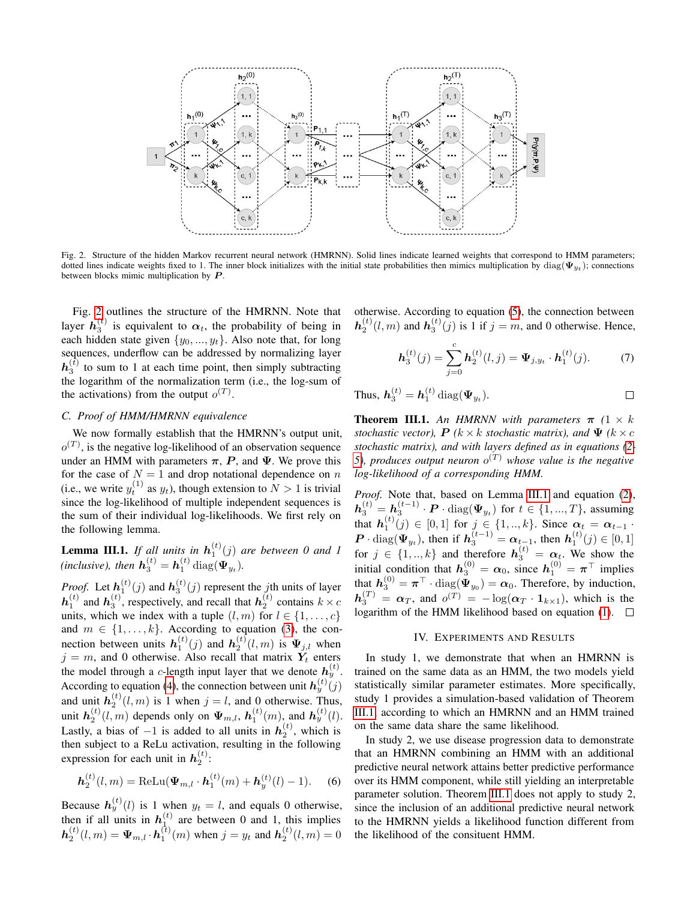

<span id="page-2-0"></span>Fig. 2. Structure of the hidden Markov recurrent neural network (HMRNN). Solid lines indicate learned weights that correspond to HMM parameters; dotted lines indicate weights fixed to 1. The inner block initializes with the initial state probabilities then mimics multiplication by  $\text{diag}(\mathbf{\Psi}_{y_t})$ ; connections between blocks mimic multiplication by  $P$ .

Fig. [2](#page-2-0) outlines the structure of the HMRNN. Note that layer  $h_3^{(t)}$  is equivalent to  $\alpha_t$ , the probability of being in each hidden state given  $\{y_0, ..., y_t\}$ . Also note that, for long sequences, underflow can be addressed by normalizing layer  $h_3^{(\bar{t})}$  to sum to 1 at each time point, then simply subtracting the logarithm of the normalization term (i.e., the log-sum of the activations) from the output  $o^{(T)}$ .

#### *C. Proof of HMM/HMRNN equivalence*

We now formally establish that the HMRNN's output unit,  $o^{(T)}$ , is the negative log-likelihood of an observation sequence under an HMM with parameters  $\pi$ , P, and  $\Psi$ . We prove this for the case of  $N = 1$  and drop notational dependence on n (i.e., we write  $y_t^{(1)}$  as  $y_t$ ), though extension to  $N > 1$  is trivial since the log-likelihood of multiple independent sequences is the sum of their individual log-likelihoods. We first rely on the following lemma.

<span id="page-2-1"></span>**Lemma III.1.** If all units in  $h_1^{(t)}(j)$  are between 0 and 1 (inclusive), then  $h_3^{(t)} = h_1^{(t)} \operatorname{diag}(\Psi_{y_t})$ .

*Proof.* Let  $h_1^{(t)}(j)$  and  $h_3^{(t)}(j)$  represent the *j*th units of layer  $h_1^{(t)}$  and  $h_3^{(t)}$ , respectively, and recall that  $h_2^{(t)}$  contains  $k \times c$ units, which we index with a tuple  $(l, m)$  for  $l \in \{1, \ldots, c\}$ and  $m \in \{1, \ldots, k\}$ . According to equation [\(3\)](#page-1-2), the connection between units  $h_1^{(t)}(j)$  and  $h_2^{(t)}(l,m)$  is  $\Psi_{j,l}$  when  $j = m$ , and 0 otherwise. Also recall that matrix  $Y_t$  enters the model through a c-length input layer that we denote  $h_y^{(t)}$ . According to equation [\(4\)](#page-1-3), the connection between unit  $h_y^{(t)}(j)$ and unit  $h_2^{(t)}(l,m)$  is 1 when  $j = l$ , and 0 otherwise. Thus, unit  $h_2^{(t)}(l,m)$  depends only on  $\Psi_{m,l}$ ,  $h_1^{(t)}(m)$ , and  $h_y^{(t)}(l)$ . Lastly, a bias of  $-1$  is added to all units in  $h_2^{(t)}$ , which is then subject to a ReLu activation, resulting in the following expression for each unit in  $h_2^{(t)}$ :

$$
\mathbf{h}_{2}^{(t)}(l,m) = \text{ReLU}(\mathbf{\Psi}_{m,l} \cdot \mathbf{h}_{1}^{(t)}(m) + \mathbf{h}_{y}^{(t)}(l) - 1). \quad (6)
$$

Because  $h_y^{(t)}(l)$  is 1 when  $y_t = l$ , and equals 0 otherwise, then if all units in  $h_{\perp}^{(t)}$  are between 0 and 1, this implies  $h_2^{(t)}(l,m) = \Psi_{m,l} \cdot h_1^{(t)}(m)$  when  $j = y_t$  and  $h_2^{(t)}(l,m) = 0$ 

otherwise. According to equation [\(5\)](#page-1-4), the connection between  $h_2^{(t)}(l,m)$  and  $h_3^{(t)}(j)$  is 1 if  $j = m$ , and 0 otherwise. Hence,

$$
\boldsymbol{h}_3^{(t)}(j) = \sum_{j=0}^{c} \boldsymbol{h}_2^{(t)}(l,j) = \boldsymbol{\Psi}_{j,y_t} \cdot \boldsymbol{h}_1^{(t)}(j). \tag{7}
$$

Thus, 
$$
\mathbf{h}_3^{(t)} = \mathbf{h}_1^{(t)} \operatorname{diag}(\mathbf{\Psi}_{y_t}).
$$

<span id="page-2-2"></span>**Theorem III.1.** An HMRNN with parameters  $\pi$  (1  $\times$  k) *stochastic vector),*  $P$  *(k × k stochastic matrix), and*  $\Psi$  *(k × c*) *stochastic matrix), and with layers defined as in equations [\(2-](#page-1-5)* [5\)](#page-1-4), produces output neuron  $o^{(T)}$  whose value is the negative *log-likelihood of a corresponding HMM.*

*Proof.* Note that, based on Lemma [III.1](#page-2-1) and equation [\(2\)](#page-1-5),  $\bm{h}_3^{(t)} = \bm{h}_3^{(t-1)} \cdot \bm{P} \cdot \text{diag}(\bm{\Psi}_{y_t})$  for  $t \in \{1, ..., T\}$ , assuming 3 that  $h_1^{(t)}(j) \in [0,1]$  for  $j \in \{1,..,k\}$ . Since  $\alpha_t = \alpha_{t-1}$ .  $\bm{P} \cdot \text{diag}(\bm{\Psi}_{y_t}),$  then if  $\bm{h}_3^{(t-1)} = \bm{\alpha}_{t-1}$ , then  $\bm{h}_1^{(t)}(j) \in [0,1]$ for  $j \in \{1, ..., k\}$  and therefore  $h_3^{(t)} = \alpha_t$ . We show the initial condition that  $h_3^{(0)} = \alpha_0$ , since  $h_1^{(0)} = \pi^{\top}$  implies that  $h_3^{(0)} = \pi^{\top} \cdot \text{diag}(\Psi_{y_0}) = \alpha_0$ . Therefore, by induction,  $h_3^{(T)} = \alpha_T$ , and  $o^{(T)} = -\log(\alpha_T \cdot 1_{k \times 1})$ , which is the logarithm of the HMM likelihood based on equation [\(1\)](#page-1-6).  $\Box$ 

#### IV. EXPERIMENTS AND RESULTS

In study 1, we demonstrate that when an HMRNN is trained on the same data as an HMM, the two models yield statistically similar parameter estimates. More specifically, study 1 provides a simulation-based validation of Theorem [III.1,](#page-2-2) according to which an HMRNN and an HMM trained on the same data share the same likelihood.

In study 2, we use disease progression data to demonstrate that an HMRNN combining an HMM with an additional predictive neural network attains better predictive performance over its HMM component, while still yielding an interpretable parameter solution. Theorem [III.1](#page-2-2) does not apply to study 2, since the inclusion of an additional predictive neural network to the HMRNN yields a likelihood function different from the likelihood of the consituent HMM.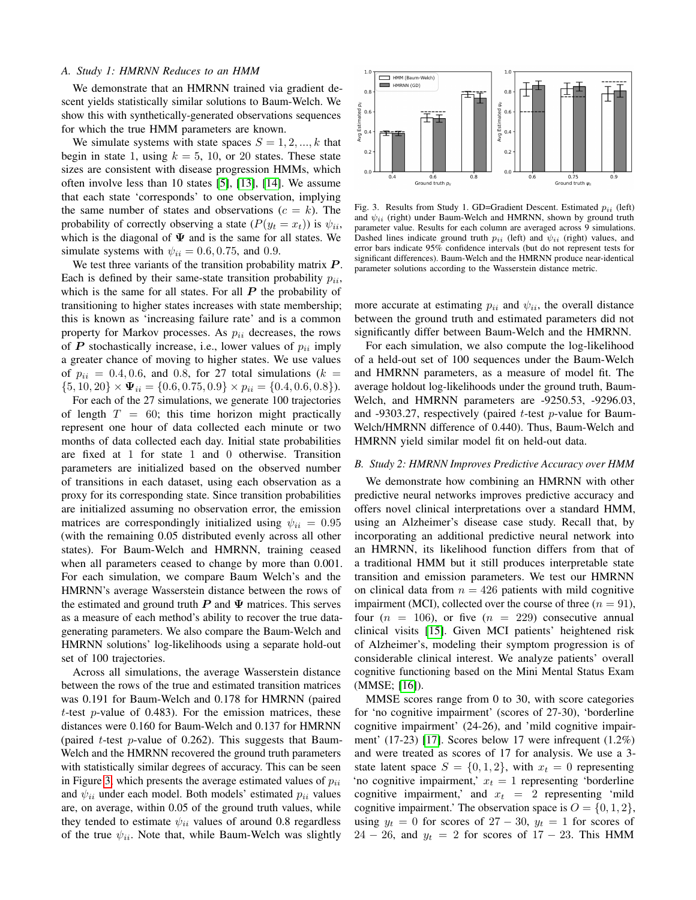## <span id="page-3-0"></span>*A. Study 1: HMRNN Reduces to an HMM*

We demonstrate that an HMRNN trained via gradient descent yields statistically similar solutions to Baum-Welch. We show this with synthetically-generated observations sequences for which the true HMM parameters are known.

We simulate systems with state spaces  $S = 1, 2, ..., k$  that begin in state 1, using  $k = 5, 10,$  or 20 states. These state sizes are consistent with disease progression HMMs, which often involve less than 10 states [\[5\]](#page-5-4), [\[13\]](#page-5-12), [\[14\]](#page-5-13). We assume that each state 'corresponds' to one observation, implying the same number of states and observations  $(c = k)$ . The probability of correctly observing a state  $(P(y_t = x_t))$  is  $\psi_{ii}$ , which is the diagonal of  $\Psi$  and is the same for all states. We simulate systems with  $\psi_{ii} = 0.6, 0.75,$  and 0.9.

We test three variants of the transition probability matrix  $P$ . Each is defined by their same-state transition probability  $p_{ii}$ , which is the same for all states. For all  $P$  the probability of transitioning to higher states increases with state membership; this is known as 'increasing failure rate' and is a common property for Markov processes. As  $p_{ii}$  decreases, the rows of  $P$  stochastically increase, i.e., lower values of  $p_{ii}$  imply a greater chance of moving to higher states. We use values of  $p_{ii} = 0.4, 0.6,$  and 0.8, for 27 total simulations ( $k =$  $\{5, 10, 20\} \times \Psi_{ii} = \{0.6, 0.75, 0.9\} \times p_{ii} = \{0.4, 0.6, 0.8\}.$ 

For each of the 27 simulations, we generate 100 trajectories of length  $T = 60$ ; this time horizon might practically represent one hour of data collected each minute or two months of data collected each day. Initial state probabilities are fixed at 1 for state 1 and 0 otherwise. Transition parameters are initialized based on the observed number of transitions in each dataset, using each observation as a proxy for its corresponding state. Since transition probabilities are initialized assuming no observation error, the emission matrices are correspondingly initialized using  $\psi_{ii} = 0.95$ (with the remaining 0.05 distributed evenly across all other states). For Baum-Welch and HMRNN, training ceased when all parameters ceased to change by more than 0.001. For each simulation, we compare Baum Welch's and the HMRNN's average Wasserstein distance between the rows of the estimated and ground truth  $P$  and  $\Psi$  matrices. This serves as a measure of each method's ability to recover the true datagenerating parameters. We also compare the Baum-Welch and HMRNN solutions' log-likelihoods using a separate hold-out set of 100 trajectories.

Across all simulations, the average Wasserstein distance between the rows of the true and estimated transition matrices was 0.191 for Baum-Welch and 0.178 for HMRNN (paired t-test  $p$ -value of 0.483). For the emission matrices, these distances were 0.160 for Baum-Welch and 0.137 for HMRNN (paired  $t$ -test p-value of 0.262). This suggests that Baum-Welch and the HMRNN recovered the ground truth parameters with statistically similar degrees of accuracy. This can be seen in Figure [3,](#page-3-2) which presents the average estimated values of  $p_{ii}$ and  $\psi_{ii}$  under each model. Both models' estimated  $p_{ii}$  values are, on average, within 0.05 of the ground truth values, while they tended to estimate  $\psi_{ii}$  values of around 0.8 regardless of the true  $\psi_{ii}$ . Note that, while Baum-Welch was slightly



<span id="page-3-2"></span>Fig. 3. Results from Study 1. GD=Gradient Descent. Estimated  $p_{ii}$  (left) and  $\psi_{ii}$  (right) under Baum-Welch and HMRNN, shown by ground truth parameter value. Results for each column are averaged across 9 simulations. Dashed lines indicate ground truth  $p_{ii}$  (left) and  $\psi_{ii}$  (right) values, and error bars indicate 95% confidence intervals (but do not represent tests for significant differences). Baum-Welch and the HMRNN produce near-identical parameter solutions according to the Wasserstein distance metric.

more accurate at estimating  $p_{ii}$  and  $\psi_{ii}$ , the overall distance between the ground truth and estimated parameters did not significantly differ between Baum-Welch and the HMRNN.

For each simulation, we also compute the log-likelihood of a held-out set of 100 sequences under the Baum-Welch and HMRNN parameters, as a measure of model fit. The average holdout log-likelihoods under the ground truth, Baum-Welch, and HMRNN parameters are -9250.53, -9296.03, and -9303.27, respectively (paired  $t$ -test p-value for Baum-Welch/HMRNN difference of 0.440). Thus, Baum-Welch and HMRNN yield similar model fit on held-out data.

#### <span id="page-3-1"></span>*B. Study 2: HMRNN Improves Predictive Accuracy over HMM*

We demonstrate how combining an HMRNN with other predictive neural networks improves predictive accuracy and offers novel clinical interpretations over a standard HMM, using an Alzheimer's disease case study. Recall that, by incorporating an additional predictive neural network into an HMRNN, its likelihood function differs from that of a traditional HMM but it still produces interpretable state transition and emission parameters. We test our HMRNN on clinical data from  $n = 426$  patients with mild cognitive impairment (MCI), collected over the course of three  $(n = 91)$ , four  $(n = 106)$ , or five  $(n = 229)$  consecutive annual clinical visits [\[15\]](#page-5-14). Given MCI patients' heightened risk of Alzheimer's, modeling their symptom progression is of considerable clinical interest. We analyze patients' overall cognitive functioning based on the Mini Mental Status Exam (MMSE; [\[16\]](#page-5-15)).

MMSE scores range from 0 to 30, with score categories for 'no cognitive impairment' (scores of 27-30), 'borderline cognitive impairment' (24-26), and 'mild cognitive impairment' (17-23) [\[17\]](#page-5-16). Scores below 17 were infrequent (1.2%) and were treated as scores of 17 for analysis. We use a 3 state latent space  $S = \{0, 1, 2\}$ , with  $x_t = 0$  representing 'no cognitive impairment,'  $x_t = 1$  representing 'borderline cognitive impairment,' and  $x_t = 2$  representing 'mild cognitive impairment.' The observation space is  $O = \{0, 1, 2\}$ , using  $y_t = 0$  for scores of  $27 - 30$ ,  $y_t = 1$  for scores of  $24 - 26$ , and  $y_t = 2$  for scores of  $17 - 23$ . This HMM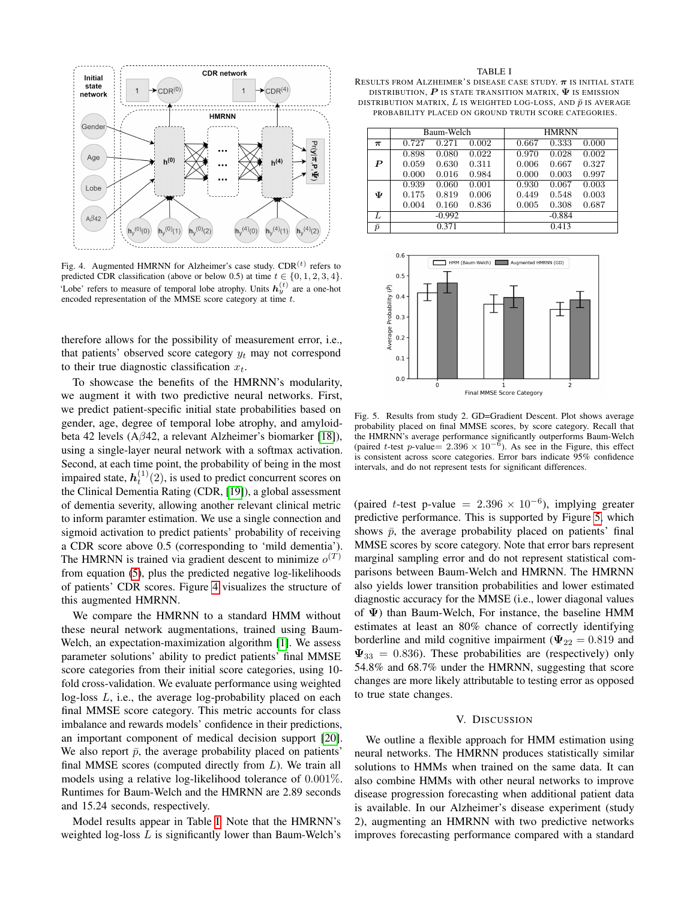

<span id="page-4-0"></span>Fig. 4. Augmented HMRNN for Alzheimer's case study.  $CDR<sup>(t)</sup>$  refers to predicted CDR classification (above or below 0.5) at time  $t \in \{0, 1, 2, 3, 4\}$ . 'Lobe' refers to measure of temporal lobe atrophy. Units  $h_y^{(t)}$  are a one-hot encoded representation of the MMSE score category at time t.

therefore allows for the possibility of measurement error, i.e., that patients' observed score category  $y_t$  may not correspond to their true diagnostic classification  $x_t$ .

To showcase the benefits of the HMRNN's modularity, we augment it with two predictive neural networks. First, we predict patient-specific initial state probabilities based on gender, age, degree of temporal lobe atrophy, and amyloidbeta 42 levels (Aβ42, a relevant Alzheimer's biomarker [\[18\]](#page-5-17)), using a single-layer neural network with a softmax activation. Second, at each time point, the probability of being in the most impaired state,  $h_t^{(1)}(2)$ , is used to predict concurrent scores on the Clinical Dementia Rating (CDR, [\[19\]](#page-5-18)), a global assessment of dementia severity, allowing another relevant clinical metric to inform paramter estimation. We use a single connection and sigmoid activation to predict patients' probability of receiving a CDR score above 0.5 (corresponding to 'mild dementia'). The HMRNN is trained via gradient descent to minimize  $o^{(T)}$ from equation [\(5\)](#page-1-4), plus the predicted negative log-likelihoods of patients' CDR scores. Figure [4](#page-4-0) visualizes the structure of this augmented HMRNN.

We compare the HMRNN to a standard HMM without these neural network augmentations, trained using Baum-Welch, an expectation-maximization algorithm [\[1\]](#page-5-0). We assess parameter solutions' ability to predict patients' final MMSE score categories from their initial score categories, using 10 fold cross-validation. We evaluate performance using weighted log-loss L, i.e., the average log-probability placed on each final MMSE score category. This metric accounts for class imbalance and rewards models' confidence in their predictions, an important component of medical decision support [\[20\]](#page-5-19). We also report  $\bar{p}$ , the average probability placed on patients' final MMSE scores (computed directly from  $L$ ). We train all models using a relative log-likelihood tolerance of 0.001%. Runtimes for Baum-Welch and the HMRNN are 2.89 seconds and 15.24 seconds, respectively.

Model results appear in Table [I.](#page-4-1) Note that the HMRNN's weighted log-loss L is significantly lower than Baum-Welch's

<span id="page-4-1"></span>TABLE I RESULTS FROM ALZHEIMER'S DISEASE CASE STUDY.  $\pi$  is initial state DISTRIBUTION,  $\boldsymbol{P}$  is state transition matrix,  $\boldsymbol{\Psi}$  is emission DISTRIBUTION MATRIX,  $L$  is weighted log-loss, and  $\bar{p}$  is average PROBABILITY PLACED ON GROUND TRUTH SCORE CATEGORIES.

|           | Baum-Welch |          |       | <b>HMRNN</b> |          |       |
|-----------|------------|----------|-------|--------------|----------|-------|
| $\pi$     | 0.727      | 0.271    | 0.002 | 0.667        | 0.333    | 0.000 |
|           | 0.898      | 0.080    | 0.022 | 0.970        | 0.028    | 0.002 |
| P         | 0.059      | 0.630    | 0.311 | 0.006        | 0.667    | 0.327 |
|           | 0.000      | 0.016    | 0.984 | 0.000        | 0.003    | 0.997 |
|           | 0.939      | 0.060    | 0.001 | 0.930        | 0.067    | 0.003 |
| Ψ         | 0.175      | 0.819    | 0.006 | 0.449        | 0.548    | 0.003 |
|           | 0.004      | 0.160    | 0.836 | 0.005        | 0.308    | 0.687 |
| L         |            | $-0.992$ |       |              | $-0.884$ |       |
| $\bar{p}$ |            | 0.371    |       |              | 0.413    |       |



<span id="page-4-2"></span>Fig. 5. Results from study 2. GD=Gradient Descent. Plot shows average probability placed on final MMSE scores, by score category. Recall that the HMRNN's average performance significantly outperforms Baum-Welch (paired t-test p-value=  $2.396 \times 10^{-6}$ ). As see in the Figure, this effect is consistent across score categories. Error bars indicate 95% confidence intervals, and do not represent tests for significant differences.

(paired t-test p-value =  $2.396 \times 10^{-6}$ ), implying greater predictive performance. This is supported by Figure [5,](#page-4-2) which shows  $\bar{p}$ , the average probability placed on patients' final MMSE scores by score category. Note that error bars represent marginal sampling error and do not represent statistical comparisons between Baum-Welch and HMRNN. The HMRNN also yields lower transition probabilities and lower estimated diagnostic accuracy for the MMSE (i.e., lower diagonal values of Ψ) than Baum-Welch, For instance, the baseline HMM estimates at least an 80% chance of correctly identifying borderline and mild cognitive impairment ( $\Psi_{22} = 0.819$  and  $\Psi_{33} = 0.836$ ). These probabilities are (respectively) only 54.8% and 68.7% under the HMRNN, suggesting that score changes are more likely attributable to testing error as opposed to true state changes.

## V. DISCUSSION

We outline a flexible approach for HMM estimation using neural networks. The HMRNN produces statistically similar solutions to HMMs when trained on the same data. It can also combine HMMs with other neural networks to improve disease progression forecasting when additional patient data is available. In our Alzheimer's disease experiment (study 2), augmenting an HMRNN with two predictive networks improves forecasting performance compared with a standard